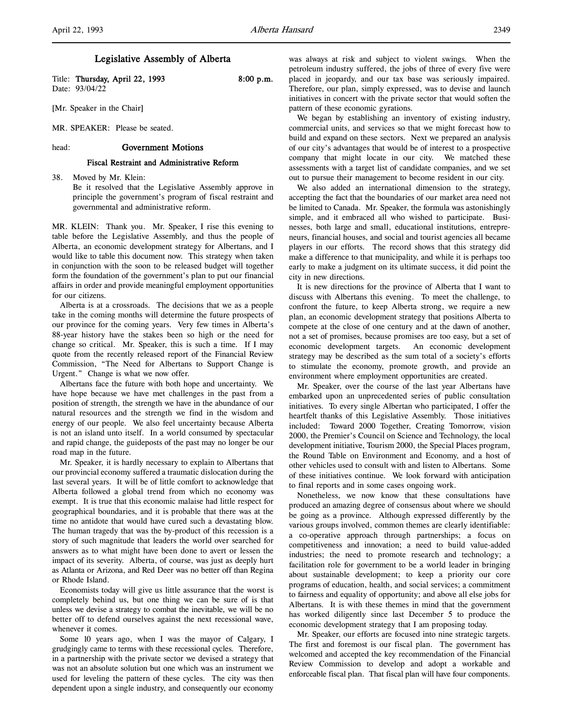Title: Thursday, April 22, 1993 8:00 p.m. Date: 93/04/22

[Mr. Speaker in the Chair]

MR. SPEAKER: Please be seated.

## head: Government Motions

#### Fiscal Restraint and Administrative Reform

38. Moved by Mr. Klein:

Be it resolved that the Legislative Assembly approve in principle the government's program of fiscal restraint and governmental and administrative reform.

MR. KLEIN: Thank you. Mr. Speaker, I rise this evening to table before the Legislative Assembly, and thus the people of Alberta, an economic development strategy for Albertans, and I would like to table this document now. This strategy when taken in conjunction with the soon to be released budget will together form the foundation of the government's plan to put our financial affairs in order and provide meaningful employment opportunities for our citizens.

Alberta is at a crossroads. The decisions that we as a people take in the coming months will determine the future prospects of our province for the coming years. Very few times in Alberta's 88-year history have the stakes been so high or the need for change so critical. Mr. Speaker, this is such a time. If I may quote from the recently released report of the Financial Review Commission, "The Need for Albertans to Support Change is Urgent." Change is what we now offer.

Albertans face the future with both hope and uncertainty. We have hope because we have met challenges in the past from a position of strength, the strength we have in the abundance of our natural resources and the strength we find in the wisdom and energy of our people. We also feel uncertainty because Alberta is not an island unto itself. In a world consumed by spectacular and rapid change, the guideposts of the past may no longer be our road map in the future.

Mr. Speaker, it is hardly necessary to explain to Albertans that our provincial economy suffered a traumatic dislocation during the last several years. It will be of little comfort to acknowledge that Alberta followed a global trend from which no economy was exempt. It is true that this economic malaise had little respect for geographical boundaries, and it is probable that there was at the time no antidote that would have cured such a devastating blow. The human tragedy that was the by-product of this recession is a story of such magnitude that leaders the world over searched for answers as to what might have been done to avert or lessen the impact of its severity. Alberta, of course, was just as deeply hurt as Atlanta or Arizona, and Red Deer was no better off than Regina or Rhode Island.

Economists today will give us little assurance that the worst is completely behind us, but one thing we can be sure of is that unless we devise a strategy to combat the inevitable, we will be no better off to defend ourselves against the next recessional wave, whenever it comes.

Some 10 years ago, when I was the mayor of Calgary, I grudgingly came to terms with these recessional cycles. Therefore, in a partnership with the private sector we devised a strategy that was not an absolute solution but one which was an instrument we used for leveling the pattern of these cycles. The city was then dependent upon a single industry, and consequently our economy

was always at risk and subject to violent swings. When the petroleum industry suffered, the jobs of three of every five were placed in jeopardy, and our tax base was seriously impaired. Therefore, our plan, simply expressed, was to devise and launch initiatives in concert with the private sector that would soften the pattern of these economic gyrations.

We began by establishing an inventory of existing industry, commercial units, and services so that we might forecast how to build and expand on these sectors. Next we prepared an analysis of our city's advantages that would be of interest to a prospective company that might locate in our city. We matched these assessments with a target list of candidate companies, and we set out to pursue their management to become resident in our city.

We also added an international dimension to the strategy, accepting the fact that the boundaries of our market area need not be limited to Canada. Mr. Speaker, the formula was astonishingly simple, and it embraced all who wished to participate. Businesses, both large and small, educational institutions, entrepreneurs, financial houses, and social and tourist agencies all became players in our efforts. The record shows that this strategy did make a difference to that municipality, and while it is perhaps too early to make a judgment on its ultimate success, it did point the city in new directions.

It is new directions for the province of Alberta that I want to discuss with Albertans this evening. To meet the challenge, to confront the future, to keep Alberta strong, we require a new plan, an economic development strategy that positions Alberta to compete at the close of one century and at the dawn of another, not a set of promises, because promises are too easy, but a set of economic development targets. An economic development strategy may be described as the sum total of a society's efforts to stimulate the economy, promote growth, and provide an environment where employment opportunities are created.

Mr. Speaker, over the course of the last year Albertans have embarked upon an unprecedented series of public consultation initiatives. To every single Albertan who participated, I offer the heartfelt thanks of this Legislative Assembly. Those initiatives included: Toward 2000 Together, Creating Tomorrow, vision 2000, the Premier's Council on Science and Technology, the local development initiative, Tourism 2000, the Special Places program, the Round Table on Environment and Economy, and a host of other vehicles used to consult with and listen to Albertans. Some of these initiatives continue. We look forward with anticipation to final reports and in some cases ongoing work.

Nonetheless, we now know that these consultations have produced an amazing degree of consensus about where we should be going as a province. Although expressed differently by the various groups involved, common themes are clearly identifiable: a co-operative approach through partnerships; a focus on competitiveness and innovation; a need to build value-added industries; the need to promote research and technology; a facilitation role for government to be a world leader in bringing about sustainable development; to keep a priority our core programs of education, health, and social services; a commitment to fairness and equality of opportunity; and above all else jobs for Albertans. It is with these themes in mind that the government has worked diligently since last December 5 to produce the economic development strategy that I am proposing today.

Mr. Speaker, our efforts are focused into nine strategic targets. The first and foremost is our fiscal plan. The government has welcomed and accepted the key recommendation of the Financial Review Commission to develop and adopt a workable and enforceable fiscal plan. That fiscal plan will have four components.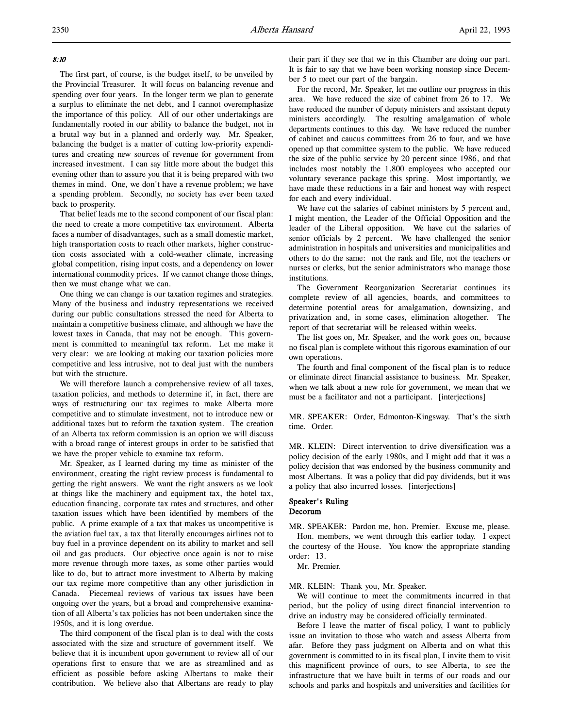# 8:10

The first part, of course, is the budget itself, to be unveiled by the Provincial Treasurer. It will focus on balancing revenue and spending over four years. In the longer term we plan to generate a surplus to eliminate the net debt, and I cannot overemphasize the importance of this policy. All of our other undertakings are fundamentally rooted in our ability to balance the budget, not in a brutal way but in a planned and orderly way. Mr. Speaker, balancing the budget is a matter of cutting low-priority expenditures and creating new sources of revenue for government from increased investment. I can say little more about the budget this evening other than to assure you that it is being prepared with two themes in mind. One, we don't have a revenue problem; we have a spending problem. Secondly, no society has ever been taxed back to prosperity.

That belief leads me to the second component of our fiscal plan: the need to create a more competitive tax environment. Alberta faces a number of disadvantages, such as a small domestic market, high transportation costs to reach other markets, higher construction costs associated with a cold-weather climate, increasing global competition, rising input costs, and a dependency on lower international commodity prices. If we cannot change those things, then we must change what we can.

One thing we can change is our taxation regimes and strategies. Many of the business and industry representations we received during our public consultations stressed the need for Alberta to maintain a competitive business climate, and although we have the lowest taxes in Canada, that may not be enough. This government is committed to meaningful tax reform. Let me make it very clear: we are looking at making our taxation policies more competitive and less intrusive, not to deal just with the numbers but with the structure.

We will therefore launch a comprehensive review of all taxes, taxation policies, and methods to determine if, in fact, there are ways of restructuring our tax regimes to make Alberta more competitive and to stimulate investment, not to introduce new or additional taxes but to reform the taxation system. The creation of an Alberta tax reform commission is an option we will discuss with a broad range of interest groups in order to be satisfied that we have the proper vehicle to examine tax reform.

Mr. Speaker, as I learned during my time as minister of the environment, creating the right review process is fundamental to getting the right answers. We want the right answers as we look at things like the machinery and equipment tax, the hotel tax, education financing, corporate tax rates and structures, and other taxation issues which have been identified by members of the public. A prime example of a tax that makes us uncompetitive is the aviation fuel tax, a tax that literally encourages airlines not to buy fuel in a province dependent on its ability to market and sell oil and gas products. Our objective once again is not to raise more revenue through more taxes, as some other parties would like to do, but to attract more investment to Alberta by making our tax regime more competitive than any other jurisdiction in Canada. Piecemeal reviews of various tax issues have been ongoing over the years, but a broad and comprehensive examination of all Alberta's tax policies has not been undertaken since the 1950s, and it is long overdue.

The third component of the fiscal plan is to deal with the costs associated with the size and structure of government itself. We believe that it is incumbent upon government to review all of our operations first to ensure that we are as streamlined and as efficient as possible before asking Albertans to make their contribution. We believe also that Albertans are ready to play

their part if they see that we in this Chamber are doing our part. It is fair to say that we have been working nonstop since December 5 to meet our part of the bargain.

For the record, Mr. Speaker, let me outline our progress in this area. We have reduced the size of cabinet from 26 to 17. We have reduced the number of deputy ministers and assistant deputy ministers accordingly. The resulting amalgamation of whole departments continues to this day. We have reduced the number of cabinet and caucus committees from 26 to four, and we have opened up that committee system to the public. We have reduced the size of the public service by 20 percent since 1986, and that includes most notably the 1,800 employees who accepted our voluntary severance package this spring. Most importantly, we have made these reductions in a fair and honest way with respect for each and every individual.

We have cut the salaries of cabinet ministers by 5 percent and, I might mention, the Leader of the Official Opposition and the leader of the Liberal opposition. We have cut the salaries of senior officials by 2 percent. We have challenged the senior administration in hospitals and universities and municipalities and others to do the same: not the rank and file, not the teachers or nurses or clerks, but the senior administrators who manage those institutions.

The Government Reorganization Secretariat continues its complete review of all agencies, boards, and committees to determine potential areas for amalgamation, downsizing, and privatization and, in some cases, elimination altogether. The report of that secretariat will be released within weeks.

The list goes on, Mr. Speaker, and the work goes on, because no fiscal plan is complete without this rigorous examination of our own operations.

The fourth and final component of the fiscal plan is to reduce or eliminate direct financial assistance to business. Mr. Speaker, when we talk about a new role for government, we mean that we must be a facilitator and not a participant. [interjections]

MR. SPEAKER: Order, Edmonton-Kingsway. That's the sixth time. Order.

MR. KLEIN: Direct intervention to drive diversification was a policy decision of the early 1980s, and I might add that it was a policy decision that was endorsed by the business community and most Albertans. It was a policy that did pay dividends, but it was a policy that also incurred losses. [interjections]

# Speaker's Ruling

# Decorum

MR. SPEAKER: Pardon me, hon. Premier. Excuse me, please. Hon. members, we went through this earlier today. I expect the courtesy of the House. You know the appropriate standing order: 13.

Mr. Premier.

MR. KLEIN: Thank you, Mr. Speaker.

We will continue to meet the commitments incurred in that period, but the policy of using direct financial intervention to drive an industry may be considered officially terminated.

Before I leave the matter of fiscal policy, I want to publicly issue an invitation to those who watch and assess Alberta from afar. Before they pass judgment on Alberta and on what this government is committed to in its fiscal plan, I invite them to visit this magnificent province of ours, to see Alberta, to see the infrastructure that we have built in terms of our roads and our schools and parks and hospitals and universities and facilities for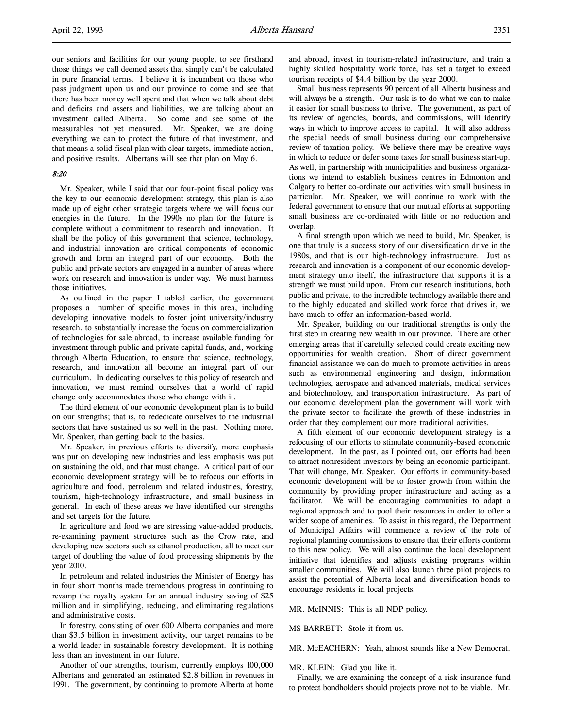our seniors and facilities for our young people, to see firsthand those things we call deemed assets that simply can't be calculated in pure financial terms. I believe it is incumbent on those who pass judgment upon us and our province to come and see that there has been money well spent and that when we talk about debt and deficits and assets and liabilities, we are talking about an investment called Alberta. So come and see some of the measurables not yet measured. Mr. Speaker, we are doing everything we can to protect the future of that investment, and that means a solid fiscal plan with clear targets, immediate action, and positive results. Albertans will see that plan on May 6.

#### 8:20

Mr. Speaker, while I said that our four-point fiscal policy was the key to our economic development strategy, this plan is also made up of eight other strategic targets where we will focus our energies in the future. In the 1990s no plan for the future is complete without a commitment to research and innovation. It shall be the policy of this government that science, technology, and industrial innovation are critical components of economic growth and form an integral part of our economy. Both the public and private sectors are engaged in a number of areas where work on research and innovation is under way. We must harness those initiatives.

As outlined in the paper I tabled earlier, the government proposes a number of specific moves in this area, including developing innovative models to foster joint university/industry research, to substantially increase the focus on commercialization of technologies for sale abroad, to increase available funding for investment through public and private capital funds, and, working through Alberta Education, to ensure that science, technology, research, and innovation all become an integral part of our curriculum. In dedicating ourselves to this policy of research and innovation, we must remind ourselves that a world of rapid change only accommodates those who change with it.

The third element of our economic development plan is to build on our strengths; that is, to rededicate ourselves to the industrial sectors that have sustained us so well in the past. Nothing more, Mr. Speaker, than getting back to the basics.

Mr. Speaker, in previous efforts to diversify, more emphasis was put on developing new industries and less emphasis was put on sustaining the old, and that must change. A critical part of our economic development strategy will be to refocus our efforts in agriculture and food, petroleum and related industries, forestry, tourism, high-technology infrastructure, and small business in general. In each of these areas we have identified our strengths and set targets for the future.

In agriculture and food we are stressing value-added products, re-examining payment structures such as the Crow rate, and developing new sectors such as ethanol production, all to meet our target of doubling the value of food processing shipments by the year 2010.

In petroleum and related industries the Minister of Energy has in four short months made tremendous progress in continuing to revamp the royalty system for an annual industry saving of \$25 million and in simplifying, reducing, and eliminating regulations and administrative costs.

In forestry, consisting of over 600 Alberta companies and more than \$3.5 billion in investment activity, our target remains to be a world leader in sustainable forestry development. It is nothing less than an investment in our future.

Another of our strengths, tourism, currently employs 100,000 Albertans and generated an estimated \$2.8 billion in revenues in 1991. The government, by continuing to promote Alberta at home and abroad, invest in tourism-related infrastructure, and train a highly skilled hospitality work force, has set a target to exceed tourism receipts of \$4.4 billion by the year 2000.

Small business represents 90 percent of all Alberta business and will always be a strength. Our task is to do what we can to make it easier for small business to thrive. The government, as part of its review of agencies, boards, and commissions, will identify ways in which to improve access to capital. It will also address the special needs of small business during our comprehensive review of taxation policy. We believe there may be creative ways in which to reduce or defer some taxes for small business start-up. As well, in partnership with municipalities and business organizations we intend to establish business centres in Edmonton and Calgary to better co-ordinate our activities with small business in particular. Mr. Speaker, we will continue to work with the federal government to ensure that our mutual efforts at supporting small business are co-ordinated with little or no reduction and overlap.

A final strength upon which we need to build, Mr. Speaker, is one that truly is a success story of our diversification drive in the 1980s, and that is our high-technology infrastructure. Just as research and innovation is a component of our economic development strategy unto itself, the infrastructure that supports it is a strength we must build upon. From our research institutions, both public and private, to the incredible technology available there and to the highly educated and skilled work force that drives it, we have much to offer an information-based world.

Mr. Speaker, building on our traditional strengths is only the first step in creating new wealth in our province. There are other emerging areas that if carefully selected could create exciting new opportunities for wealth creation. Short of direct government financial assistance we can do much to promote activities in areas such as environmental engineering and design, information technologies, aerospace and advanced materials, medical services and biotechnology, and transportation infrastructure. As part of our economic development plan the government will work with the private sector to facilitate the growth of these industries in order that they complement our more traditional activities.

A fifth element of our economic development strategy is a refocusing of our efforts to stimulate community-based economic development. In the past, as I pointed out, our efforts had been to attract nonresident investors by being an economic participant. That will change, Mr. Speaker. Our efforts in community-based economic development will be to foster growth from within the community by providing proper infrastructure and acting as a facilitator. We will be encouraging communities to adapt a regional approach and to pool their resources in order to offer a wider scope of amenities. To assist in this regard, the Department of Municipal Affairs will commence a review of the role of regional planning commissions to ensure that their efforts conform to this new policy. We will also continue the local development initiative that identifies and adjusts existing programs within smaller communities. We will also launch three pilot projects to assist the potential of Alberta local and diversification bonds to encourage residents in local projects.

MR. McINNIS: This is all NDP policy.

MS BARRETT: Stole it from us.

MR. McEACHERN: Yeah, almost sounds like a New Democrat.

MR. KLEIN: Glad you like it.

Finally, we are examining the concept of a risk insurance fund to protect bondholders should projects prove not to be viable. Mr.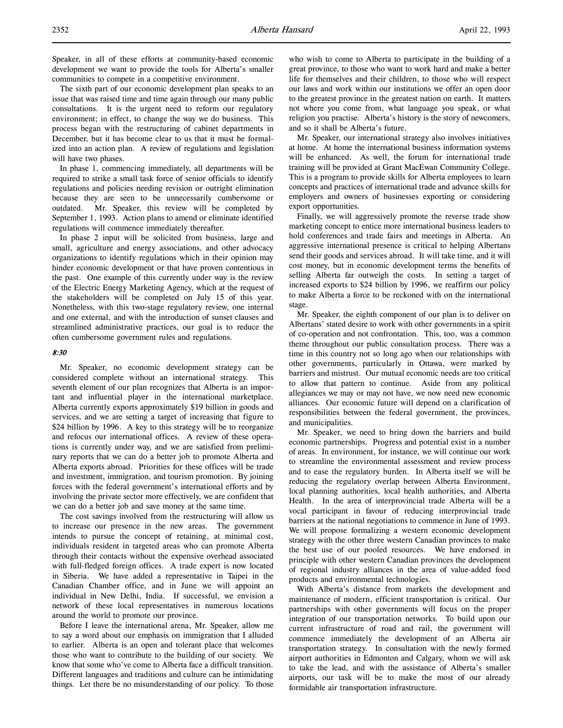Speaker, in all of these efforts at community-based economic development we want to provide the tools for Alberta's smaller communities to compete in a competitive environment.

The sixth part of our economic development plan speaks to an issue that was raised time and time again through our many public consultations. It is the urgent need to reform our regulatory environment; in effect, to change the way we do business. This process began with the restructuring of cabinet departments in December, but it has become clear to us that it must be formalized into an action plan. A review of regulations and legislation will have two phases.

In phase 1, commencing immediately, all departments will be required to strike a small task force of senior officials to identify regulations and policies needing revision or outright elimination because they are seen to be unnecessarily cumbersome or outdated. Mr. Speaker, this review will be completed by September 1, 1993. Action plans to amend or eliminate identified regulations will commence immediately thereafter.

In phase 2 input will be solicited from business, large and small, agriculture and energy associations, and other advocacy organizations to identify regulations which in their opinion may hinder economic development or that have proven contentious in the past. One example of this currently under way is the review of the Electric Energy Marketing Agency, which at the request of the stakeholders will be completed on July 15 of this year. Nonetheless, with this two-stage regulatory review, one internal and one external, and with the introduction of sunset clauses and streamlined administrative practices, our goal is to reduce the often cumbersome government rules and regulations.

# 8:30

Mr. Speaker, no economic development strategy can be considered complete without an international strategy. This seventh element of our plan recognizes that Alberta is an important and influential player in the international marketplace. Alberta currently exports approximately \$19 billion in goods and services, and we are setting a target of increasing that figure to \$24 billion by 1996. A key to this strategy will be to reorganize and refocus our international offices. A review of these operations is currently under way, and we are satisfied from preliminary reports that we can do a better job to promote Alberta and Alberta exports abroad. Priorities for these offices will be trade and investment, immigration, and tourism promotion. By joining forces with the federal government's international efforts and by involving the private sector more effectively, we are confident that we can do a better job and save money at the same time.

The cost savings involved from the restructuring will allow us to increase our presence in the new areas. The government intends to pursue the concept of retaining, at minimal cost, individuals resident in targeted areas who can promote Alberta through their contacts without the expensive overhead associated with full-fledged foreign offices. A trade expert is now located in Siberia. We have added a representative in Taipei in the Canadian Chamber office, and in June we will appoint an individual in New Delhi, India. If successful, we envision a network of these local representatives in numerous locations around the world to promote our province.

Before I leave the international arena, Mr. Speaker, allow me to say a word about our emphasis on immigration that I alluded to earlier. Alberta is an open and tolerant place that welcomes those who want to contribute to the building of our society. We know that some who've come to Alberta face a difficult transition. Different languages and traditions and culture can be intimidating things. Let there be no misunderstanding of our policy. To those

who wish to come to Alberta to participate in the building of a great province, to those who want to work hard and make a better life for themselves and their children, to those who will respect our laws and work within our institutions we offer an open door to the greatest province in the greatest nation on earth. It matters not where you come from, what language you speak, or what religion you practise. Alberta's history is the story of newcomers, and so it shall be Alberta's future.

Mr. Speaker, our international strategy also involves initiatives at home. At home the international business information systems will be enhanced. As well, the forum for international trade training will be provided at Grant MacEwan Community College. This is a program to provide skills for Alberta employees to learn concepts and practices of international trade and advance skills for employers and owners of businesses exporting or considering export opportunities.

Finally, we will aggressively promote the reverse trade show marketing concept to entice more international business leaders to hold conferences and trade fairs and meetings in Alberta. An aggressive international presence is critical to helping Albertans send their goods and services abroad. It will take time, and it will cost money, but in economic development terms the benefits of selling Alberta far outweigh the costs. In setting a target of increased exports to \$24 billion by 1996, we reaffirm our policy to make Alberta a force to be reckoned with on the international stage.

Mr. Speaker, the eighth component of our plan is to deliver on Albertans' stated desire to work with other governments in a spirit of co-operation and not confrontation. This, too, was a common theme throughout our public consultation process. There was a time in this country not so long ago when our relationships with other governments, particularly in Ottawa, were marked by barriers and mistrust. Our mutual economic needs are too critical to allow that pattern to continue. Aside from any political allegiances we may or may not have, we now need new economic alliances. Our economic future will depend on a clarification of responsibilities between the federal government, the provinces, and municipalities.

Mr. Speaker, we need to bring down the barriers and build economic partnerships. Progress and potential exist in a number of areas. In environment, for instance, we will continue our work to streamline the environmental assessment and review process and to ease the regulatory burden. In Alberta itself we will be reducing the regulatory overlap between Alberta Environment, local planning authorities, local health authorities, and Alberta Health. In the area of interprovincial trade Alberta will be a vocal participant in favour of reducing interprovincial trade barriers at the national negotiations to commence in June of 1993. We will propose formalizing a western economic development strategy with the other three western Canadian provinces to make the best use of our pooled resources. We have endorsed in principle with other western Canadian provinces the development of regional industry alliances in the area of value-added food products and environmental technologies.

With Alberta's distance from markets the development and maintenance of modern, efficient transportation is critical. Our partnerships with other governments will focus on the proper integration of our transportation networks. To build upon our current infrastructure of road and rail, the government will commence immediately the development of an Alberta air transportation strategy. In consultation with the newly formed airport authorities in Edmonton and Calgary, whom we will ask to take the lead, and with the assistance of Alberta's smaller airports, our task will be to make the most of our already formidable air transportation infrastructure.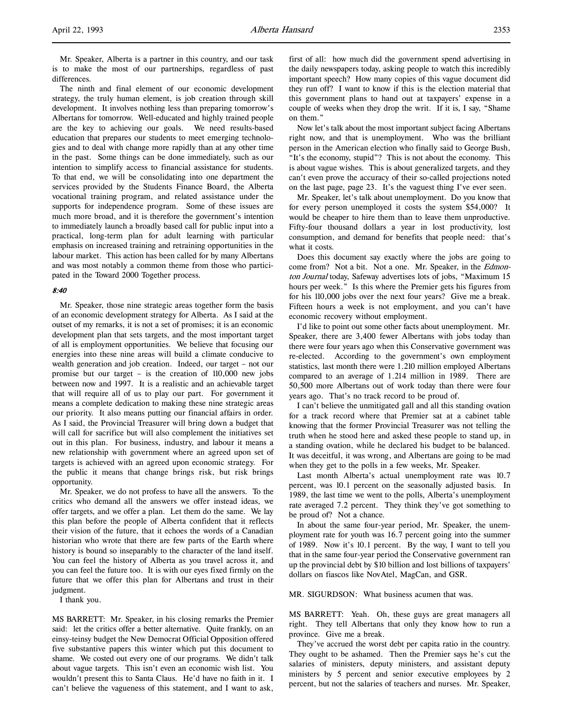Mr. Speaker, Alberta is a partner in this country, and our task is to make the most of our partnerships, regardless of past differences.

The ninth and final element of our economic development strategy, the truly human element, is job creation through skill development. It involves nothing less than preparing tomorrow's Albertans for tomorrow. Well-educated and highly trained people are the key to achieving our goals. We need results-based education that prepares our students to meet emerging technologies and to deal with change more rapidly than at any other time in the past. Some things can be done immediately, such as our intention to simplify access to financial assistance for students. To that end, we will be consolidating into one department the services provided by the Students Finance Board, the Alberta vocational training program, and related assistance under the supports for independence program. Some of these issues are much more broad, and it is therefore the government's intention to immediately launch a broadly based call for public input into a practical, long-term plan for adult learning with particular emphasis on increased training and retraining opportunities in the labour market. This action has been called for by many Albertans and was most notably a common theme from those who participated in the Toward 2000 Together process.

#### 8:40

Mr. Speaker, those nine strategic areas together form the basis of an economic development strategy for Alberta. As I said at the outset of my remarks, it is not a set of promises; it is an economic development plan that sets targets, and the most important target of all is employment opportunities. We believe that focusing our energies into these nine areas will build a climate conducive to wealth generation and job creation. Indeed, our target – not our promise but our target – is the creation of 110,000 new jobs between now and 1997. It is a realistic and an achievable target that will require all of us to play our part. For government it means a complete dedication to making these nine strategic areas our priority. It also means putting our financial affairs in order. As I said, the Provincial Treasurer will bring down a budget that will call for sacrifice but will also complement the initiatives set out in this plan. For business, industry, and labour it means a new relationship with government where an agreed upon set of targets is achieved with an agreed upon economic strategy. For the public it means that change brings risk, but risk brings opportunity.

Mr. Speaker, we do not profess to have all the answers. To the critics who demand all the answers we offer instead ideas, we offer targets, and we offer a plan. Let them do the same. We lay this plan before the people of Alberta confident that it reflects their vision of the future, that it echoes the words of a Canadian historian who wrote that there are few parts of the Earth where history is bound so inseparably to the character of the land itself. You can feel the history of Alberta as you travel across it, and you can feel the future too. It is with our eyes fixed firmly on the future that we offer this plan for Albertans and trust in their judgment.

I thank you.

MS BARRETT: Mr. Speaker, in his closing remarks the Premier said: let the critics offer a better alternative. Quite frankly, on an einsy-teinsy budget the New Democrat Official Opposition offered five substantive papers this winter which put this document to shame. We costed out every one of our programs. We didn't talk about vague targets. This isn't even an economic wish list. You wouldn't present this to Santa Claus. He'd have no faith in it. I can't believe the vagueness of this statement, and I want to ask,

first of all: how much did the government spend advertising in the daily newspapers today, asking people to watch this incredibly important speech? How many copies of this vague document did they run off? I want to know if this is the election material that this government plans to hand out at taxpayers' expense in a couple of weeks when they drop the writ. If it is, I say, "Shame on them."

Now let's talk about the most important subject facing Albertans right now, and that is unemployment. Who was the brilliant person in the American election who finally said to George Bush, "It's the economy, stupid"? This is not about the economy. This is about vague wishes. This is about generalized targets, and they can't even prove the accuracy of their so-called projections noted on the last page, page 23. It's the vaguest thing I've ever seen.

Mr. Speaker, let's talk about unemployment. Do you know that for every person unemployed it costs the system \$54,000? It would be cheaper to hire them than to leave them unproductive. Fifty-four thousand dollars a year in lost productivity, lost consumption, and demand for benefits that people need: that's what it costs.

Does this document say exactly where the jobs are going to come from? Not a bit. Not a one. Mr. Speaker, in the Edmonton Journal today, Safeway advertises lots of jobs, "Maximum 15 hours per week." Is this where the Premier gets his figures from for his 110,000 jobs over the next four years? Give me a break. Fifteen hours a week is not employment, and you can't have economic recovery without employment.

I'd like to point out some other facts about unemployment. Mr. Speaker, there are 3,400 fewer Albertans with jobs today than there were four years ago when this Conservative government was re-elected. According to the government's own employment statistics, last month there were 1.210 million employed Albertans compared to an average of 1.214 million in 1989. There are 50,500 more Albertans out of work today than there were four years ago. That's no track record to be proud of.

I can't believe the unmitigated gall and all this standing ovation for a track record where that Premier sat at a cabinet table knowing that the former Provincial Treasurer was not telling the truth when he stood here and asked these people to stand up, in a standing ovation, while he declared his budget to be balanced. It was deceitful, it was wrong, and Albertans are going to be mad when they get to the polls in a few weeks, Mr. Speaker.

Last month Alberta's actual unemployment rate was 10.7 percent, was 10.1 percent on the seasonally adjusted basis. In 1989, the last time we went to the polls, Alberta's unemployment rate averaged 7.2 percent. They think they've got something to be proud of? Not a chance.

In about the same four-year period, Mr. Speaker, the unemployment rate for youth was 16.7 percent going into the summer of 1989. Now it's 10.1 percent. By the way, I want to tell you that in the same four-year period the Conservative government ran up the provincial debt by \$10 billion and lost billions of taxpayers' dollars on fiascos like NovAtel, MagCan, and GSR.

MR. SIGURDSON: What business acumen that was.

MS BARRETT: Yeah. Oh, these guys are great managers all right. They tell Albertans that only they know how to run a province. Give me a break.

They've accrued the worst debt per capita ratio in the country. They ought to be ashamed. Then the Premier says he's cut the salaries of ministers, deputy ministers, and assistant deputy ministers by 5 percent and senior executive employees by 2 percent, but not the salaries of teachers and nurses. Mr. Speaker,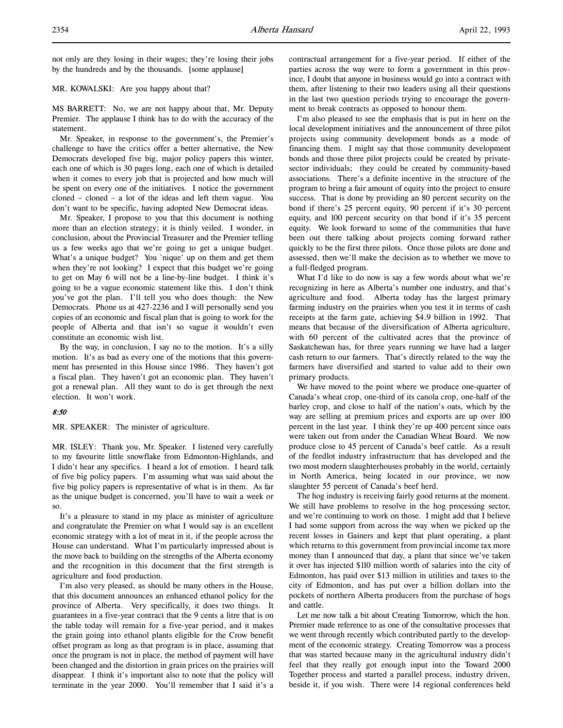not only are they losing in their wages; they're losing their jobs by the hundreds and by the thousands. [some applause]

MR. KOWALSKI: Are you happy about that?

MS BARRETT: No, we are not happy about that, Mr. Deputy Premier. The applause I think has to do with the accuracy of the statement.

Mr. Speaker, in response to the government's, the Premier's challenge to have the critics offer a better alternative, the New Democrats developed five big, major policy papers this winter, each one of which is 30 pages long, each one of which is detailed when it comes to every job that is projected and how much will be spent on every one of the initiatives. I notice the government cloned – cloned – a lot of the ideas and left them vague. You don't want to be specific, having adopted New Democrat ideas.

Mr. Speaker, I propose to you that this document is nothing more than an election strategy; it is thinly veiled. I wonder, in conclusion, about the Provincial Treasurer and the Premier telling us a few weeks ago that we're going to get a unique budget. What's a unique budget? You `nique' up on them and get them when they're not looking? I expect that this budget we're going to get on May 6 will not be a line-by-line budget. I think it's going to be a vague economic statement like this. I don't think you've got the plan. I'll tell you who does though: the New Democrats. Phone us at 427-2236 and I will personally send you copies of an economic and fiscal plan that is going to work for the people of Alberta and that isn't so vague it wouldn't even constitute an economic wish list.

By the way, in conclusion, I say no to the motion. It's a silly motion. It's as bad as every one of the motions that this government has presented in this House since 1986. They haven't got a fiscal plan. They haven't got an economic plan. They haven't got a renewal plan. All they want to do is get through the next election. It won't work.

## 8:50

MR. SPEAKER: The minister of agriculture.

MR. ISLEY: Thank you, Mr. Speaker. I listened very carefully to my favourite little snowflake from Edmonton-Highlands, and I didn't hear any specifics. I heard a lot of emotion. I heard talk of five big policy papers. I'm assuming what was said about the five big policy papers is representative of what is in them. As far as the unique budget is concerned, you'll have to wait a week or so.

It's a pleasure to stand in my place as minister of agriculture and congratulate the Premier on what I would say is an excellent economic strategy with a lot of meat in it, if the people across the House can understand. What I'm particularly impressed about is the move back to building on the strengths of the Alberta economy and the recognition in this document that the first strength is agriculture and food production.

I'm also very pleased, as should be many others in the House, that this document announces an enhanced ethanol policy for the province of Alberta. Very specifically, it does two things. It guarantees in a five-year contract that the 9 cents a litre that is on the table today will remain for a five-year period, and it makes the grain going into ethanol plants eligible for the Crow benefit offset program as long as that program is in place, assuming that once the program is not in place, the method of payment will have been changed and the distortion in grain prices on the prairies will disappear. I think it's important also to note that the policy will terminate in the year 2000. You'll remember that I said it's a

contractual arrangement for a five-year period. If either of the parties across the way were to form a government in this province, I doubt that anyone in business would go into a contract with them, after listening to their two leaders using all their questions in the last two question periods trying to encourage the government to break contracts as opposed to honour them.

I'm also pleased to see the emphasis that is put in here on the local development initiatives and the announcement of three pilot projects using community development bonds as a mode of financing them. I might say that those community development bonds and those three pilot projects could be created by privatesector individuals; they could be created by community-based associations. There's a definite incentive in the structure of the program to bring a fair amount of equity into the project to ensure success. That is done by providing an 80 percent security on the bond if there's 25 percent equity, 90 percent if it's 30 percent equity, and 100 percent security on that bond if it's 35 percent equity. We look forward to some of the communities that have been out there talking about projects coming forward rather quickly to be the first three pilots. Once those pilots are done and assessed, then we'll make the decision as to whether we move to a full-fledged program.

What I'd like to do now is say a few words about what we're recognizing in here as Alberta's number one industry, and that's agriculture and food. Alberta today has the largest primary farming industry on the prairies when you test it in terms of cash receipts at the farm gate, achieving \$4.9 billion in 1992. That means that because of the diversification of Alberta agriculture, with 60 percent of the cultivated acres that the province of Saskatchewan has, for three years running we have had a larger cash return to our farmers. That's directly related to the way the farmers have diversified and started to value add to their own primary products.

We have moved to the point where we produce one-quarter of Canada's wheat crop, one-third of its canola crop, one-half of the barley crop, and close to half of the nation's oats, which by the way are selling at premium prices and exports are up over 100 percent in the last year. I think they're up 400 percent since oats were taken out from under the Canadian Wheat Board. We now produce close to 45 percent of Canada's beef cattle. As a result of the feedlot industry infrastructure that has developed and the two most modern slaughterhouses probably in the world, certainly in North America, being located in our province, we now slaughter 55 percent of Canada's beef herd.

The hog industry is receiving fairly good returns at the moment. We still have problems to resolve in the hog processing sector, and we're continuing to work on those. I might add that I believe I had some support from across the way when we picked up the recent losses in Gainers and kept that plant operating, a plant which returns to this government from provincial income tax more money than I announced that day, a plant that since we've taken it over has injected \$110 million worth of salaries into the city of Edmonton, has paid over \$13 million in utilities and taxes to the city of Edmonton, and has put over a billion dollars into the pockets of northern Alberta producers from the purchase of hogs and cattle.

Let me now talk a bit about Creating Tomorrow, which the hon. Premier made reference to as one of the consultative processes that we went through recently which contributed partly to the development of the economic strategy. Creating Tomorrow was a process that was started because many in the agricultural industry didn't feel that they really got enough input into the Toward 2000 Together process and started a parallel process, industry driven, beside it, if you wish. There were 14 regional conferences held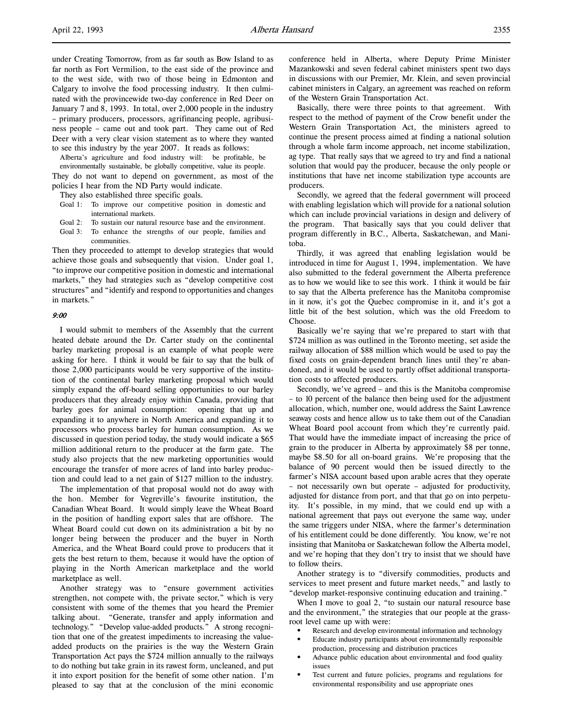under Creating Tomorrow, from as far south as Bow Island to as far north as Fort Vermilion, to the east side of the province and to the west side, with two of those being in Edmonton and Calgary to involve the food processing industry. It then culminated with the provincewide two-day conference in Red Deer on January 7 and 8, 1993. In total, over 2,000 people in the industry – primary producers, processors, agrifinancing people, agribusiness people – came out and took part. They came out of Red Deer with a very clear vision statement as to where they wanted to see this industry by the year 2007. It reads as follows:

Alberta's agriculture and food industry will: be profitable, be environmentally sustainable, be globally competitive, value its people. They do not want to depend on government, as most of the policies I hear from the ND Party would indicate.

They also established three specific goals.

- Goal 1: To improve our competitive position in domestic and international markets.
- Goal 2: To sustain our natural resource base and the environment.
- Goal 3: To enhance the strengths of our people, families and communities.

Then they proceeded to attempt to develop strategies that would achieve those goals and subsequently that vision. Under goal 1, "to improve our competitive position in domestic and international markets," they had strategies such as "develop competitive cost structures" and "identify and respond to opportunities and changes in markets."

#### 9:00

I would submit to members of the Assembly that the current heated debate around the Dr. Carter study on the continental barley marketing proposal is an example of what people were asking for here. I think it would be fair to say that the bulk of those 2,000 participants would be very supportive of the institution of the continental barley marketing proposal which would simply expand the off-board selling opportunities to our barley producers that they already enjoy within Canada, providing that barley goes for animal consumption: opening that up and expanding it to anywhere in North America and expanding it to processors who process barley for human consumption. As we discussed in question period today, the study would indicate a \$65 million additional return to the producer at the farm gate. The study also projects that the new marketing opportunities would encourage the transfer of more acres of land into barley production and could lead to a net gain of \$127 million to the industry.

The implementation of that proposal would not do away with the hon. Member for Vegreville's favourite institution, the Canadian Wheat Board. It would simply leave the Wheat Board in the position of handling export sales that are offshore. The Wheat Board could cut down on its administration a bit by no longer being between the producer and the buyer in North America, and the Wheat Board could prove to producers that it gets the best return to them, because it would have the option of playing in the North American marketplace and the world marketplace as well.

Another strategy was to "ensure government activities strengthen, not compete with, the private sector," which is very consistent with some of the themes that you heard the Premier talking about. "Generate, transfer and apply information and technology." "Develop value-added products." A strong recognition that one of the greatest impediments to increasing the valueadded products on the prairies is the way the Western Grain Transportation Act pays the \$724 million annually to the railways to do nothing but take grain in its rawest form, uncleaned, and put it into export position for the benefit of some other nation. I'm pleased to say that at the conclusion of the mini economic

conference held in Alberta, where Deputy Prime Minister Mazankowski and seven federal cabinet ministers spent two days in discussions with our Premier, Mr. Klein, and seven provincial cabinet ministers in Calgary, an agreement was reached on reform of the Western Grain Transportation Act.

Basically, there were three points to that agreement. With respect to the method of payment of the Crow benefit under the Western Grain Transportation Act, the ministers agreed to continue the present process aimed at finding a national solution through a whole farm income approach, net income stabilization, ag type. That really says that we agreed to try and find a national solution that would pay the producer, because the only people or institutions that have net income stabilization type accounts are producers.

Secondly, we agreed that the federal government will proceed with enabling legislation which will provide for a national solution which can include provincial variations in design and delivery of the program. That basically says that you could deliver that program differently in B.C., Alberta, Saskatchewan, and Manitoba.

Thirdly, it was agreed that enabling legislation would be introduced in time for August 1, 1994, implementation. We have also submitted to the federal government the Alberta preference as to how we would like to see this work. I think it would be fair to say that the Alberta preference has the Manitoba compromise in it now, it's got the Quebec compromise in it, and it's got a little bit of the best solution, which was the old Freedom to Choose.

Basically we're saying that we're prepared to start with that \$724 million as was outlined in the Toronto meeting, set aside the railway allocation of \$88 million which would be used to pay the fixed costs on grain-dependent branch lines until they're abandoned, and it would be used to partly offset additional transportation costs to affected producers.

Secondly, we've agreed – and this is the Manitoba compromise – to 10 percent of the balance then being used for the adjustment allocation, which, number one, would address the Saint Lawrence seaway costs and hence allow us to take them out of the Canadian Wheat Board pool account from which they're currently paid. That would have the immediate impact of increasing the price of grain to the producer in Alberta by approximately \$8 per tonne, maybe \$8.50 for all on-board grains. We're proposing that the balance of 90 percent would then be issued directly to the farmer's NISA account based upon arable acres that they operate – not necessarily own but operate – adjusted for productivity, adjusted for distance from port, and that that go on into perpetuity. It's possible, in my mind, that we could end up with a national agreement that pays out everyone the same way, under the same triggers under NISA, where the farmer's determination of his entitlement could be done differently. You know, we're not insisting that Manitoba or Saskatchewan follow the Alberta model, and we're hoping that they don't try to insist that we should have to follow theirs.

Another strategy is to "diversify commodities, products and services to meet present and future market needs," and lastly to "develop market-responsive continuing education and training."

When I move to goal 2, "to sustain our natural resource base and the environment," the strategies that our people at the grassroot level came up with were:

- Research and develop environmental information and technology
- Educate industry participants about environmentally responsible production, processing and distribution practices
- Advance public education about environmental and food quality issues
- Test current and future policies, programs and regulations for environmental responsibility and use appropriate ones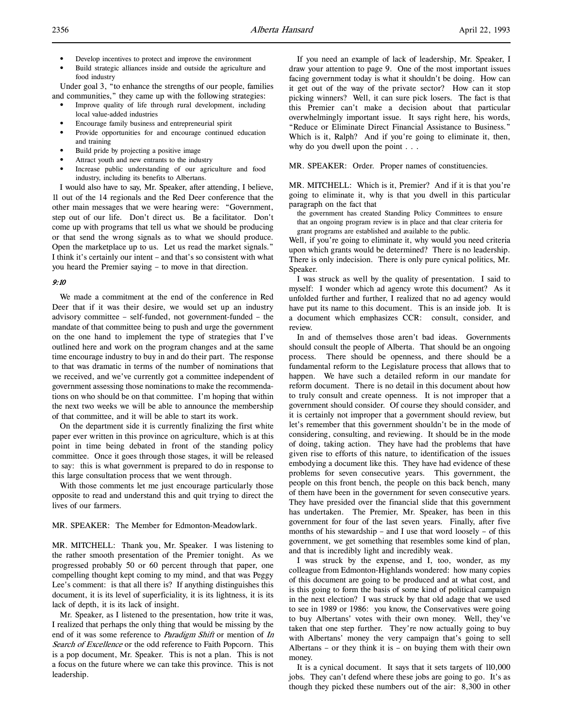- Develop incentives to protect and improve the environment
- Build strategic alliances inside and outside the agriculture and food industry

Under goal 3, "to enhance the strengths of our people, families and communities," they came up with the following strategies:

- Improve quality of life through rural development, including local value-added industries
- Encourage family business and entrepreneurial spirit
- Provide opportunities for and encourage continued education and training
- Build pride by projecting a positive image
- Attract youth and new entrants to the industry
- Increase public understanding of our agriculture and food industry, including its benefits to Albertans.

I would also have to say, Mr. Speaker, after attending, I believe, 11 out of the 14 regionals and the Red Deer conference that the other main messages that we were hearing were: "Government, step out of our life. Don't direct us. Be a facilitator. Don't come up with programs that tell us what we should be producing or that send the wrong signals as to what we should produce. Open the marketplace up to us. Let us read the market signals." I think it's certainly our intent – and that's so consistent with what you heard the Premier saying – to move in that direction.

#### 9:10

We made a commitment at the end of the conference in Red Deer that if it was their desire, we would set up an industry advisory committee – self-funded, not government-funded – the mandate of that committee being to push and urge the government on the one hand to implement the type of strategies that I've outlined here and work on the program changes and at the same time encourage industry to buy in and do their part. The response to that was dramatic in terms of the number of nominations that we received, and we've currently got a committee independent of government assessing those nominations to make the recommendations on who should be on that committee. I'm hoping that within the next two weeks we will be able to announce the membership of that committee, and it will be able to start its work.

On the department side it is currently finalizing the first white paper ever written in this province on agriculture, which is at this point in time being debated in front of the standing policy committee. Once it goes through those stages, it will be released to say: this is what government is prepared to do in response to this large consultation process that we went through.

With those comments let me just encourage particularly those opposite to read and understand this and quit trying to direct the lives of our farmers.

# MR. SPEAKER: The Member for Edmonton-Meadowlark.

MR. MITCHELL: Thank you, Mr. Speaker. I was listening to the rather smooth presentation of the Premier tonight. As we progressed probably 50 or 60 percent through that paper, one compelling thought kept coming to my mind, and that was Peggy Lee's comment: is that all there is? If anything distinguishes this document, it is its level of superficiality, it is its lightness, it is its lack of depth, it is its lack of insight.

Mr. Speaker, as I listened to the presentation, how trite it was, I realized that perhaps the only thing that would be missing by the end of it was some reference to *Paradigm Shift* or mention of In Search of Excellence or the odd reference to Faith Popcorn. This is a pop document, Mr. Speaker. This is not a plan. This is not a focus on the future where we can take this province. This is not leadership.

If you need an example of lack of leadership, Mr. Speaker, I draw your attention to page 9. One of the most important issues facing government today is what it shouldn't be doing. How can it get out of the way of the private sector? How can it stop picking winners? Well, it can sure pick losers. The fact is that this Premier can't make a decision about that particular overwhelmingly important issue. It says right here, his words, "Reduce or Eliminate Direct Financial Assistance to Business." Which is it, Ralph? And if you're going to eliminate it, then, why do you dwell upon the point . . .

MR. SPEAKER: Order. Proper names of constituencies.

MR. MITCHELL: Which is it, Premier? And if it is that you're going to eliminate it, why is that you dwell in this particular paragraph on the fact that

the government has created Standing Policy Committees to ensure that an ongoing program review is in place and that clear criteria for grant programs are established and available to the public.

Well, if you're going to eliminate it, why would you need criteria upon which grants would be determined? There is no leadership. There is only indecision. There is only pure cynical politics, Mr. Speaker.

I was struck as well by the quality of presentation. I said to myself: I wonder which ad agency wrote this document? As it unfolded further and further, I realized that no ad agency would have put its name to this document. This is an inside job. It is a document which emphasizes CCR: consult, consider, and review.

In and of themselves those aren't bad ideas. Governments should consult the people of Alberta. That should be an ongoing process. There should be openness, and there should be a fundamental reform to the Legislature process that allows that to happen. We have such a detailed reform in our mandate for reform document. There is no detail in this document about how to truly consult and create openness. It is not improper that a government should consider. Of course they should consider, and it is certainly not improper that a government should review, but let's remember that this government shouldn't be in the mode of considering, consulting, and reviewing. It should be in the mode of doing, taking action. They have had the problems that have given rise to efforts of this nature, to identification of the issues embodying a document like this. They have had evidence of these problems for seven consecutive years. This government, the people on this front bench, the people on this back bench, many of them have been in the government for seven consecutive years. They have presided over the financial slide that this government has undertaken. The Premier, Mr. Speaker, has been in this government for four of the last seven years. Finally, after five months of his stewardship – and I use that word loosely – of this government, we get something that resembles some kind of plan, and that is incredibly light and incredibly weak.

I was struck by the expense, and I, too, wonder, as my colleague from Edmonton-Highlands wondered: how many copies of this document are going to be produced and at what cost, and is this going to form the basis of some kind of political campaign in the next election? I was struck by that old adage that we used to see in 1989 or 1986: you know, the Conservatives were going to buy Albertans' votes with their own money. Well, they've taken that one step further. They're now actually going to buy with Albertans' money the very campaign that's going to sell Albertans – or they think it is – on buying them with their own money.

It is a cynical document. It says that it sets targets of 110,000 jobs. They can't defend where these jobs are going to go. It's as though they picked these numbers out of the air: 8,300 in other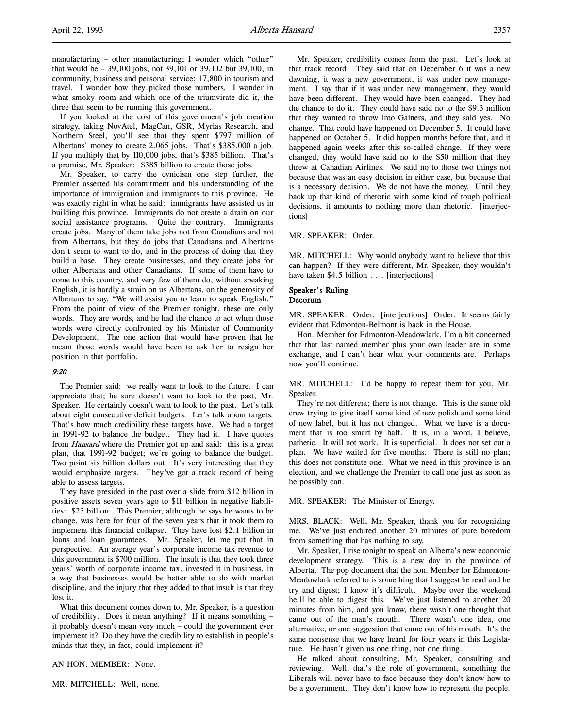manufacturing – other manufacturing; I wonder which "other" that would be – 39,100 jobs, not 39,101 or 39,102 but 39,100, in community, business and personal service; 17,800 in tourism and travel. I wonder how they picked those numbers. I wonder in what smoky room and which one of the triumvirate did it, the three that seem to be running this government.

If you looked at the cost of this government's job creation strategy, taking NovAtel, MagCan, GSR, Myrias Research, and Northern Steel, you'll see that they spent \$797 million of Albertans' money to create 2,065 jobs. That's \$385,000 a job. If you multiply that by 110,000 jobs, that's \$385 billion. That's a promise, Mr. Speaker: \$385 billion to create those jobs.

Mr. Speaker, to carry the cynicism one step further, the Premier asserted his commitment and his understanding of the importance of immigration and immigrants to this province. He was exactly right in what he said: immigrants have assisted us in building this province. Immigrants do not create a drain on our social assistance programs. Quite the contrary. Immigrants create jobs. Many of them take jobs not from Canadians and not from Albertans, but they do jobs that Canadians and Albertans don't seem to want to do, and in the process of doing that they build a base. They create businesses, and they create jobs for other Albertans and other Canadians. If some of them have to come to this country, and very few of them do, without speaking English, it is hardly a strain on us Albertans, on the generosity of Albertans to say, "We will assist you to learn to speak English." From the point of view of the Premier tonight, these are only words. They are words, and he had the chance to act when those words were directly confronted by his Minister of Community Development. The one action that would have proven that he meant those words would have been to ask her to resign her position in that portfolio.

# 9:20

The Premier said: we really want to look to the future. I can appreciate that; he sure doesn't want to look to the past, Mr. Speaker. He certainly doesn't want to look to the past. Let's talk about eight consecutive deficit budgets. Let's talk about targets. That's how much credibility these targets have. We had a target in 1991-92 to balance the budget. They had it. I have quotes from *Hansard* where the Premier got up and said: this is a great plan, that 1991-92 budget; we're going to balance the budget. Two point six billion dollars out. It's very interesting that they would emphasize targets. They've got a track record of being able to assess targets.

They have presided in the past over a slide from \$12 billion in positive assets seven years ago to \$11 billion in negative liabilities: \$23 billion. This Premier, although he says he wants to be change, was here for four of the seven years that it took them to implement this financial collapse. They have lost \$2.1 billion in loans and loan guarantees. Mr. Speaker, let me put that in perspective. An average year's corporate income tax revenue to this government is \$700 million. The insult is that they took three years' worth of corporate income tax, invested it in business, in a way that businesses would be better able to do with market discipline, and the injury that they added to that insult is that they lost it.

What this document comes down to, Mr. Speaker, is a question of credibility. Does it mean anything? If it means something – it probably doesn't mean very much – could the government ever implement it? Do they have the credibility to establish in people's minds that they, in fact, could implement it?

AN HON. MEMBER: None.

MR. MITCHELL: Well, none.

Mr. Speaker, credibility comes from the past. Let's look at that track record. They said that on December 6 it was a new dawning, it was a new government, it was under new management. I say that if it was under new management, they would have been different. They would have been changed. They had the chance to do it. They could have said no to the \$9.3 million that they wanted to throw into Gainers, and they said yes. No change. That could have happened on December 5. It could have happened on October 5. It did happen months before that, and it happened again weeks after this so-called change. If they were changed, they would have said no to the \$50 million that they threw at Canadian Airlines. We said no to those two things not because that was an easy decision in either case, but because that is a necessary decision. We do not have the money. Until they back up that kind of rhetoric with some kind of tough political decisions, it amounts to nothing more than rhetoric. [interjections]

#### MR. SPEAKER: Order.

MR. MITCHELL: Why would anybody want to believe that this can happen? If they were different, Mr. Speaker, they wouldn't have taken \$4.5 billion . . . [interjections]

# Speaker's Ruling

# Decorum

MR. SPEAKER: Order. [interjections] Order. It seems fairly evident that Edmonton-Belmont is back in the House.

Hon. Member for Edmonton-Meadowlark, I'm a bit concerned that that last named member plus your own leader are in some exchange, and I can't hear what your comments are. Perhaps now you'll continue.

MR. MITCHELL: I'd be happy to repeat them for you, Mr. Speaker.

They're not different; there is not change. This is the same old crew trying to give itself some kind of new polish and some kind of new label, but it has not changed. What we have is a document that is too smart by half. It is, in a word, I believe, pathetic. It will not work. It is superficial. It does not set out a plan. We have waited for five months. There is still no plan; this does not constitute one. What we need in this province is an election, and we challenge the Premier to call one just as soon as he possibly can.

#### MR. SPEAKER: The Minister of Energy.

MRS. BLACK: Well, Mr. Speaker, thank you for recognizing me. We've just endured another 20 minutes of pure boredom from something that has nothing to say.

Mr. Speaker, I rise tonight to speak on Alberta's new economic development strategy. This is a new day in the province of Alberta. The pop document that the hon. Member for Edmonton-Meadowlark referred to is something that I suggest he read and he try and digest; I know it's difficult. Maybe over the weekend he'll be able to digest this. We've just listened to another 20 minutes from him, and you know, there wasn't one thought that came out of the man's mouth. There wasn't one idea, one alternative, or one suggestion that came out of his mouth. It's the same nonsense that we have heard for four years in this Legislature. He hasn't given us one thing, not one thing.

He talked about consulting, Mr. Speaker, consulting and reviewing. Well, that's the role of government, something the Liberals will never have to face because they don't know how to be a government. They don't know how to represent the people.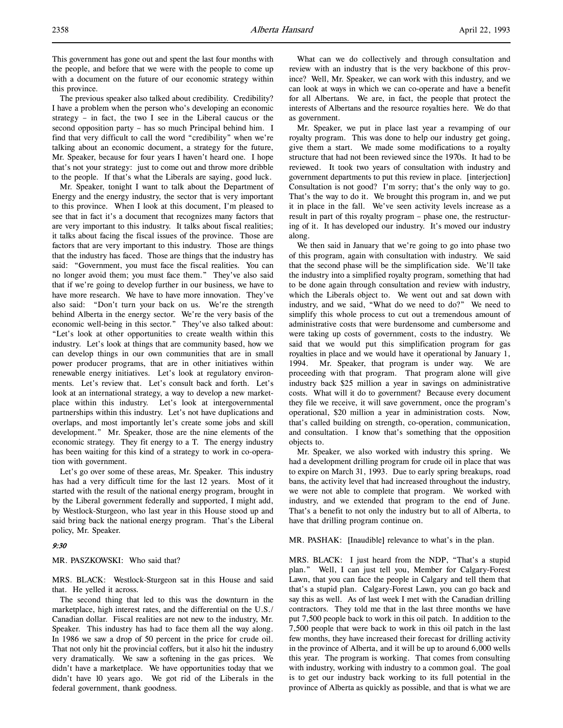This government has gone out and spent the last four months with the people, and before that we were with the people to come up with a document on the future of our economic strategy within this province.

The previous speaker also talked about credibility. Credibility? I have a problem when the person who's developing an economic strategy – in fact, the two I see in the Liberal caucus or the second opposition party – has so much Principal behind him. I find that very difficult to call the word "credibility" when we're talking about an economic document, a strategy for the future, Mr. Speaker, because for four years I haven't heard one. I hope that's not your strategy: just to come out and throw more dribble to the people. If that's what the Liberals are saying, good luck.

Mr. Speaker, tonight I want to talk about the Department of Energy and the energy industry, the sector that is very important to this province. When I look at this document, I'm pleased to see that in fact it's a document that recognizes many factors that are very important to this industry. It talks about fiscal realities; it talks about facing the fiscal issues of the province. Those are factors that are very important to this industry. Those are things that the industry has faced. Those are things that the industry has said: "Government, you must face the fiscal realities. You can no longer avoid them; you must face them." They've also said that if we're going to develop further in our business, we have to have more research. We have to have more innovation. They've also said: "Don't turn your back on us. We're the strength behind Alberta in the energy sector. We're the very basis of the economic well-being in this sector." They've also talked about: "Let's look at other opportunities to create wealth within this industry. Let's look at things that are community based, how we can develop things in our own communities that are in small power producer programs, that are in other initiatives within renewable energy initiatives. Let's look at regulatory environments. Let's review that. Let's consult back and forth. Let's look at an international strategy, a way to develop a new marketplace within this industry. Let's look at intergovernmental partnerships within this industry. Let's not have duplications and overlaps, and most importantly let's create some jobs and skill development." Mr. Speaker, those are the nine elements of the economic strategy. They fit energy to a T. The energy industry has been waiting for this kind of a strategy to work in co-operation with government.

Let's go over some of these areas, Mr. Speaker. This industry has had a very difficult time for the last 12 years. Most of it started with the result of the national energy program, brought in by the Liberal government federally and supported, I might add, by Westlock-Sturgeon, who last year in this House stood up and said bring back the national energy program. That's the Liberal policy, Mr. Speaker.

# 9:30

MR. PASZKOWSKI: Who said that?

MRS. BLACK: Westlock-Sturgeon sat in this House and said that. He yelled it across.

The second thing that led to this was the downturn in the marketplace, high interest rates, and the differential on the U.S./ Canadian dollar. Fiscal realities are not new to the industry, Mr. Speaker. This industry has had to face them all the way along. In 1986 we saw a drop of 50 percent in the price for crude oil. That not only hit the provincial coffers, but it also hit the industry very dramatically. We saw a softening in the gas prices. We didn't have a marketplace. We have opportunities today that we didn't have 10 years ago. We got rid of the Liberals in the federal government, thank goodness.

What can we do collectively and through consultation and review with an industry that is the very backbone of this province? Well, Mr. Speaker, we can work with this industry, and we can look at ways in which we can co-operate and have a benefit for all Albertans. We are, in fact, the people that protect the interests of Albertans and the resource royalties here. We do that as government.

Mr. Speaker, we put in place last year a revamping of our royalty program. This was done to help our industry get going, give them a start. We made some modifications to a royalty structure that had not been reviewed since the 1970s. It had to be reviewed. It took two years of consultation with industry and government departments to put this review in place. [interjection] Consultation is not good? I'm sorry; that's the only way to go. That's the way to do it. We brought this program in, and we put it in place in the fall. We've seen activity levels increase as a result in part of this royalty program – phase one, the restructuring of it. It has developed our industry. It's moved our industry along.

We then said in January that we're going to go into phase two of this program, again with consultation with industry. We said that the second phase will be the simplification side. We'll take the industry into a simplified royalty program, something that had to be done again through consultation and review with industry, which the Liberals object to. We went out and sat down with industry, and we said, "What do we need to do?" We need to simplify this whole process to cut out a tremendous amount of administrative costs that were burdensome and cumbersome and were taking up costs of government, costs to the industry. We said that we would put this simplification program for gas royalties in place and we would have it operational by January 1, 1994. Mr. Speaker, that program is under way. We are proceeding with that program. That program alone will give industry back \$25 million a year in savings on administrative costs. What will it do to government? Because every document they file we receive, it will save government, once the program's operational, \$20 million a year in administration costs. Now, that's called building on strength, co-operation, communication, and consultation. I know that's something that the opposition objects to.

Mr. Speaker, we also worked with industry this spring. We had a development drilling program for crude oil in place that was to expire on March 31, 1993. Due to early spring breakups, road bans, the activity level that had increased throughout the industry, we were not able to complete that program. We worked with industry, and we extended that program to the end of June. That's a benefit to not only the industry but to all of Alberta, to have that drilling program continue on.

MR. PASHAK: [Inaudible] relevance to what's in the plan.

MRS. BLACK: I just heard from the NDP, "That's a stupid plan." Well, I can just tell you, Member for Calgary-Forest Lawn, that you can face the people in Calgary and tell them that that's a stupid plan. Calgary-Forest Lawn, you can go back and say this as well. As of last week I met with the Canadian drilling contractors. They told me that in the last three months we have put 7,500 people back to work in this oil patch. In addition to the 7,500 people that were back to work in this oil patch in the last few months, they have increased their forecast for drilling activity in the province of Alberta, and it will be up to around 6,000 wells this year. The program is working. That comes from consulting with industry, working with industry to a common goal. The goal is to get our industry back working to its full potential in the province of Alberta as quickly as possible, and that is what we are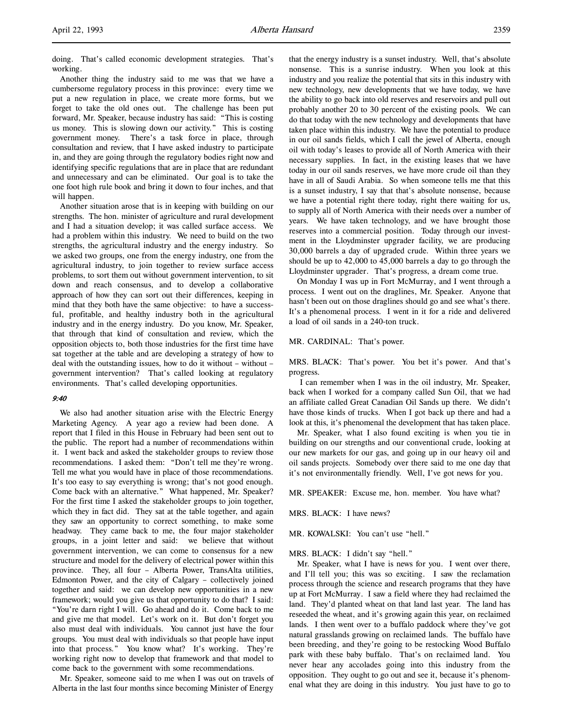doing. That's called economic development strategies. That's working.

Another thing the industry said to me was that we have a cumbersome regulatory process in this province: every time we put a new regulation in place, we create more forms, but we forget to take the old ones out. The challenge has been put forward, Mr. Speaker, because industry has said: "This is costing us money. This is slowing down our activity." This is costing government money. There's a task force in place, through consultation and review, that I have asked industry to participate in, and they are going through the regulatory bodies right now and identifying specific regulations that are in place that are redundant and unnecessary and can be eliminated. Our goal is to take the one foot high rule book and bring it down to four inches, and that will happen.

Another situation arose that is in keeping with building on our strengths. The hon. minister of agriculture and rural development and I had a situation develop; it was called surface access. We had a problem within this industry. We need to build on the two strengths, the agricultural industry and the energy industry. So we asked two groups, one from the energy industry, one from the agricultural industry, to join together to review surface access problems, to sort them out without government intervention, to sit down and reach consensus, and to develop a collaborative approach of how they can sort out their differences, keeping in mind that they both have the same objective: to have a successful, profitable, and healthy industry both in the agricultural industry and in the energy industry. Do you know, Mr. Speaker, that through that kind of consultation and review, which the opposition objects to, both those industries for the first time have sat together at the table and are developing a strategy of how to deal with the outstanding issues, how to do it without – without – government intervention? That's called looking at regulatory environments. That's called developing opportunities.

# 9:40

We also had another situation arise with the Electric Energy Marketing Agency. A year ago a review had been done. A report that I filed in this House in February had been sent out to the public. The report had a number of recommendations within it. I went back and asked the stakeholder groups to review those recommendations. I asked them: "Don't tell me they're wrong. Tell me what you would have in place of those recommendations. It's too easy to say everything is wrong; that's not good enough. Come back with an alternative." What happened, Mr. Speaker? For the first time I asked the stakeholder groups to join together, which they in fact did. They sat at the table together, and again they saw an opportunity to correct something, to make some headway. They came back to me, the four major stakeholder groups, in a joint letter and said: we believe that without government intervention, we can come to consensus for a new structure and model for the delivery of electrical power within this province. They, all four – Alberta Power, TransAlta utilities, Edmonton Power, and the city of Calgary – collectively joined together and said: we can develop new opportunities in a new framework; would you give us that opportunity to do that? I said: "You're darn right I will. Go ahead and do it. Come back to me and give me that model. Let's work on it. But don't forget you also must deal with individuals. You cannot just have the four groups. You must deal with individuals so that people have input into that process." You know what? It's working. They're working right now to develop that framework and that model to come back to the government with some recommendations.

Mr. Speaker, someone said to me when I was out on travels of Alberta in the last four months since becoming Minister of Energy

that the energy industry is a sunset industry. Well, that's absolute nonsense. This is a sunrise industry. When you look at this industry and you realize the potential that sits in this industry with new technology, new developments that we have today, we have the ability to go back into old reserves and reservoirs and pull out probably another 20 to 30 percent of the existing pools. We can do that today with the new technology and developments that have taken place within this industry. We have the potential to produce in our oil sands fields, which I call the jewel of Alberta, enough oil with today's leases to provide all of North America with their necessary supplies. In fact, in the existing leases that we have today in our oil sands reserves, we have more crude oil than they have in all of Saudi Arabia. So when someone tells me that this is a sunset industry, I say that that's absolute nonsense, because we have a potential right there today, right there waiting for us, to supply all of North America with their needs over a number of years. We have taken technology, and we have brought those reserves into a commercial position. Today through our investment in the Lloydminster upgrader facility, we are producing 30,000 barrels a day of upgraded crude. Within three years we should be up to 42,000 to 45,000 barrels a day to go through the Lloydminster upgrader. That's progress, a dream come true.

On Monday I was up in Fort McMurray, and I went through a process. I went out on the draglines, Mr. Speaker. Anyone that hasn't been out on those draglines should go and see what's there. It's a phenomenal process. I went in it for a ride and delivered a load of oil sands in a 240-ton truck.

# MR. CARDINAL: That's power.

MRS. BLACK: That's power. You bet it's power. And that's progress.

 I can remember when I was in the oil industry, Mr. Speaker, back when I worked for a company called Sun Oil, that we had an affiliate called Great Canadian Oil Sands up there. We didn't have those kinds of trucks. When I got back up there and had a look at this, it's phenomenal the development that has taken place.

Mr. Speaker, what I also found exciting is when you tie in building on our strengths and our conventional crude, looking at our new markets for our gas, and going up in our heavy oil and oil sands projects. Somebody over there said to me one day that it's not environmentally friendly. Well, I've got news for you.

MR. SPEAKER: Excuse me, hon. member. You have what?

MRS. BLACK: I have news?

MR. KOWALSKI: You can't use "hell."

#### MRS. BLACK: I didn't say "hell."

Mr. Speaker, what I have is news for you. I went over there, and I'll tell you; this was so exciting. I saw the reclamation process through the science and research programs that they have up at Fort McMurray. I saw a field where they had reclaimed the land. They'd planted wheat on that land last year. The land has reseeded the wheat, and it's growing again this year, on reclaimed lands. I then went over to a buffalo paddock where they've got natural grasslands growing on reclaimed lands. The buffalo have been breeding, and they're going to be restocking Wood Buffalo park with these baby buffalo. That's on reclaimed land. You never hear any accolades going into this industry from the opposition. They ought to go out and see it, because it's phenomenal what they are doing in this industry. You just have to go to